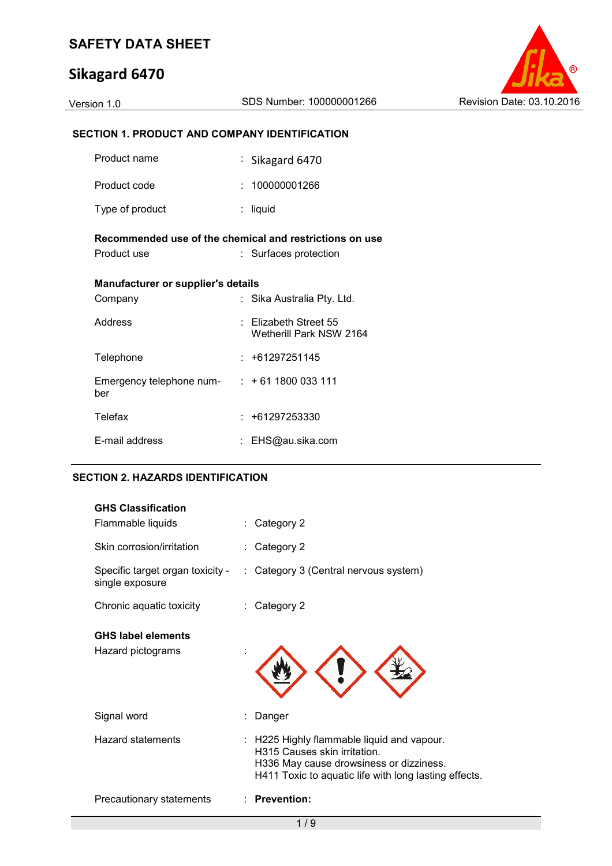# **Sikagard 6470**



# **SECTION 1. PRODUCT AND COMPANY IDENTIFICATION**

| Product name                                                           |    | : Sikagard 6470                                      |  |  |
|------------------------------------------------------------------------|----|------------------------------------------------------|--|--|
| Product code                                                           | t. | 100000001266                                         |  |  |
| Type of product                                                        |    | liquid                                               |  |  |
| Recommended use of the chemical and restrictions on use<br>Product use |    | : Surfaces protection                                |  |  |
| Manufacturer or supplier's details                                     |    |                                                      |  |  |
| Company                                                                |    | : Sika Australia Pty. Ltd.                           |  |  |
| Address                                                                |    | $\pm$ Elizabeth Street 55<br>Wetherill Park NSW 2164 |  |  |
| Telephone                                                              |    | $: +61297251145$                                     |  |  |
| Emergency telephone num- $: +61 1800 033 111$<br>ber                   |    |                                                      |  |  |
| <b>Telefax</b>                                                         |    | $: +61297253330$                                     |  |  |
| E-mail address                                                         |    | EHS@au.sika.com                                      |  |  |

#### **SECTION 2. HAZARDS IDENTIFICATION**

| <b>GHS Classification</b>                           |                                                                                                                                                                                |
|-----------------------------------------------------|--------------------------------------------------------------------------------------------------------------------------------------------------------------------------------|
| Flammable liquids                                   | Category 2                                                                                                                                                                     |
| Skin corrosion/irritation                           | Category 2                                                                                                                                                                     |
| Specific target organ toxicity -<br>single exposure | : Category 3 (Central nervous system)                                                                                                                                          |
| Chronic aquatic toxicity                            | Category 2                                                                                                                                                                     |
| <b>GHS label elements</b><br>Hazard pictograms      |                                                                                                                                                                                |
| Signal word                                         | Danger                                                                                                                                                                         |
| <b>Hazard statements</b>                            | : H225 Highly flammable liquid and vapour.<br>H315 Causes skin irritation.<br>H336 May cause drowsiness or dizziness.<br>H411 Toxic to aquatic life with long lasting effects. |
| Precautionary statements                            | <b>Prevention:</b>                                                                                                                                                             |
|                                                     |                                                                                                                                                                                |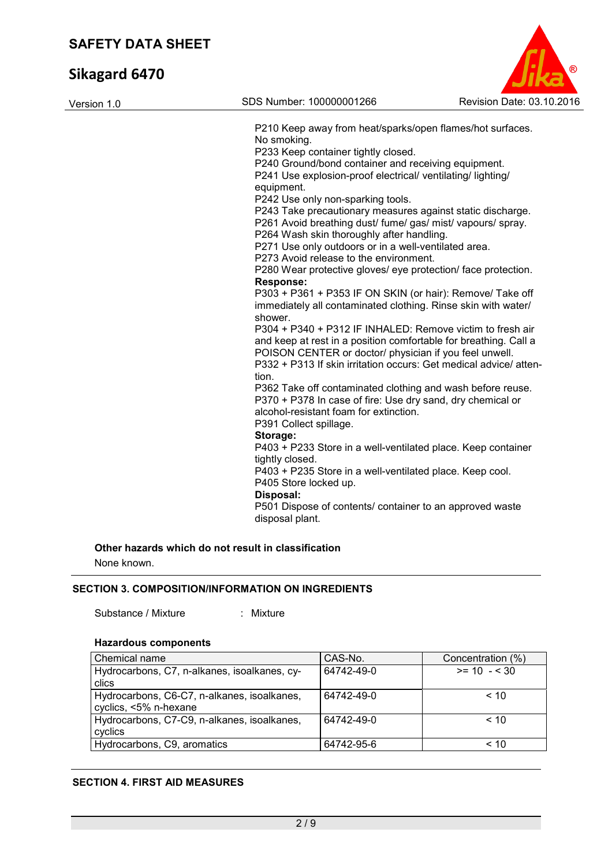| Version 1.0 | SDS Number: 100000001266                                         | Revision Date: 03.10.2016 |
|-------------|------------------------------------------------------------------|---------------------------|
|             | P210 Keep away from heat/sparks/open flames/hot surfaces.        |                           |
|             | No smoking.                                                      |                           |
|             | P233 Keep container tightly closed.                              |                           |
|             | P240 Ground/bond container and receiving equipment.              |                           |
|             | P241 Use explosion-proof electrical/ventilating/lighting/        |                           |
|             | equipment.                                                       |                           |
|             | P242 Use only non-sparking tools.                                |                           |
|             | P243 Take precautionary measures against static discharge.       |                           |
|             | P261 Avoid breathing dust/ fume/ gas/ mist/ vapours/ spray.      |                           |
|             | P264 Wash skin thoroughly after handling.                        |                           |
|             | P271 Use only outdoors or in a well-ventilated area.             |                           |
|             | P273 Avoid release to the environment.                           |                           |
|             | P280 Wear protective gloves/ eye protection/ face protection.    |                           |
|             | <b>Response:</b>                                                 |                           |
|             | P303 + P361 + P353 IF ON SKIN (or hair): Remove/ Take off        |                           |
|             | immediately all contaminated clothing. Rinse skin with water/    |                           |
|             | shower.                                                          |                           |
|             | P304 + P340 + P312 IF INHALED: Remove victim to fresh air        |                           |
|             | and keep at rest in a position comfortable for breathing. Call a |                           |
|             | POISON CENTER or doctor/ physician if you feel unwell.           |                           |
|             | P332 + P313 If skin irritation occurs: Get medical advice/atten- |                           |
|             | tion.                                                            |                           |
|             | P362 Take off contaminated clothing and wash before reuse.       |                           |
|             | P370 + P378 In case of fire: Use dry sand, dry chemical or       |                           |
|             | alcohol-resistant foam for extinction.                           |                           |
|             | P391 Collect spillage.                                           |                           |
|             | Storage:                                                         |                           |
|             | P403 + P233 Store in a well-ventilated place. Keep container     |                           |
|             | tightly closed.                                                  |                           |
|             | P403 + P235 Store in a well-ventilated place. Keep cool.         |                           |
|             | P405 Store locked up.                                            |                           |
|             | Disposal:                                                        |                           |
|             | P501 Dispose of contents/ container to an approved waste         |                           |
|             | disposal plant.                                                  |                           |
|             |                                                                  |                           |

**Other hazards which do not result in classification**

None known.

### **SECTION 3. COMPOSITION/INFORMATION ON INGREDIENTS**

Substance / Mixture : Mixture :

# **Hazardous components**

| Chemical name                                | CAS-No.    | Concentration (%) |
|----------------------------------------------|------------|-------------------|
| Hydrocarbons, C7, n-alkanes, isoalkanes, cy- | 64742-49-0 | $>= 10 - 530$     |
| clics                                        |            |                   |
| Hydrocarbons, C6-C7, n-alkanes, isoalkanes,  | 64742-49-0 | < 10              |
| cyclics, <5% n-hexane                        |            |                   |
| Hydrocarbons, C7-C9, n-alkanes, isoalkanes,  | 64742-49-0 | < 10              |
| cyclics                                      |            |                   |
| Hydrocarbons, C9, aromatics                  | 64742-95-6 | $~<$ 10           |

### **SECTION 4. FIRST AID MEASURES**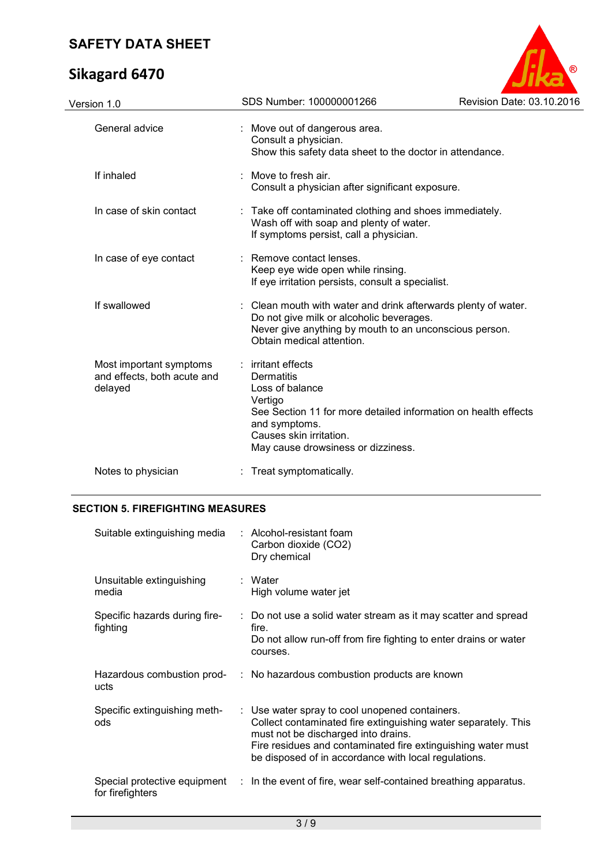# **Sikagard 6470**



| Version 1.0                                                       | SDS Number: 100000001266                                                                                                                                                                                           | Revision Date: 03.10.2016 |
|-------------------------------------------------------------------|--------------------------------------------------------------------------------------------------------------------------------------------------------------------------------------------------------------------|---------------------------|
| General advice                                                    | : Move out of dangerous area.<br>Consult a physician.<br>Show this safety data sheet to the doctor in attendance.                                                                                                  |                           |
| If inhaled                                                        | : Move to fresh air.<br>Consult a physician after significant exposure.                                                                                                                                            |                           |
| In case of skin contact                                           | : Take off contaminated clothing and shoes immediately.<br>Wash off with soap and plenty of water.<br>If symptoms persist, call a physician.                                                                       |                           |
| In case of eye contact                                            | : Remove contact lenses.<br>Keep eye wide open while rinsing.<br>If eye irritation persists, consult a specialist.                                                                                                 |                           |
| If swallowed                                                      | : Clean mouth with water and drink afterwards plenty of water.<br>Do not give milk or alcoholic beverages.<br>Never give anything by mouth to an unconscious person.<br>Obtain medical attention.                  |                           |
| Most important symptoms<br>and effects, both acute and<br>delayed | : irritant effects<br>Dermatitis<br>Loss of balance<br>Vertigo<br>See Section 11 for more detailed information on health effects<br>and symptoms.<br>Causes skin irritation.<br>May cause drowsiness or dizziness. |                           |
| Notes to physician                                                | Treat symptomatically.                                                                                                                                                                                             |                           |
|                                                                   |                                                                                                                                                                                                                    |                           |

# **SECTION 5. FIREFIGHTING MEASURES**

| Suitable extinguishing media              | $:$ Alcohol-resistant foam<br>Carbon dioxide (CO2)<br>Dry chemical                                                                                                                                                                                                              |
|-------------------------------------------|---------------------------------------------------------------------------------------------------------------------------------------------------------------------------------------------------------------------------------------------------------------------------------|
| Unsuitable extinguishing<br>media         | : Water<br>High volume water jet                                                                                                                                                                                                                                                |
| Specific hazards during fire-<br>fighting | : Do not use a solid water stream as it may scatter and spread<br>fire.<br>Do not allow run-off from fire fighting to enter drains or water<br>courses.                                                                                                                         |
| ucts                                      | Hazardous combustion prod- : No hazardous combustion products are known                                                                                                                                                                                                         |
| Specific extinguishing meth-<br>ods       | : Use water spray to cool unopened containers.<br>Collect contaminated fire extinguishing water separately. This<br>must not be discharged into drains.<br>Fire residues and contaminated fire extinguishing water must<br>be disposed of in accordance with local regulations. |
| for firefighters                          | Special protective equipment : In the event of fire, wear self-contained breathing apparatus.                                                                                                                                                                                   |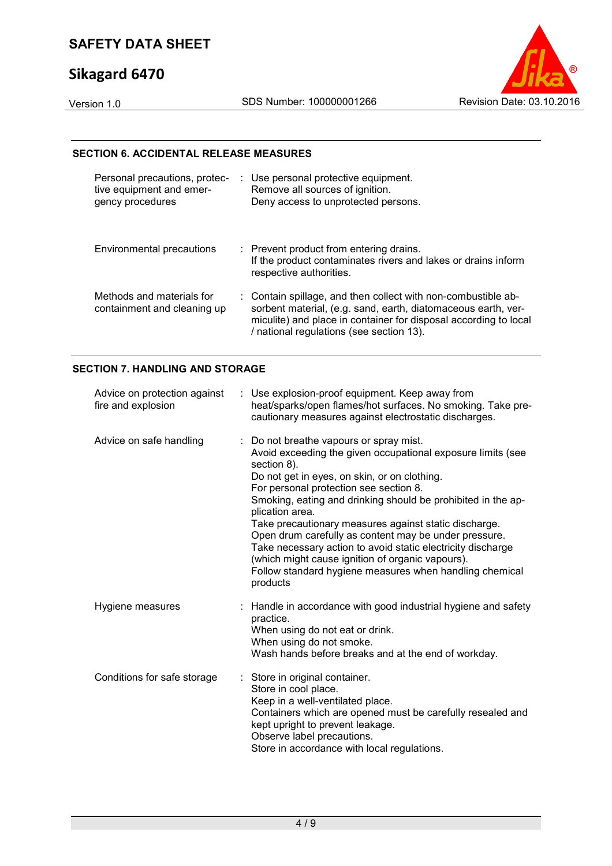# **Sikagard 6470**



#### **SECTION 6. ACCIDENTAL RELEASE MEASURES**

| Personal precautions, protec-<br>tive equipment and emer-<br>gency procedures | : Use personal protective equipment.<br>Remove all sources of ignition.<br>Deny access to unprotected persons.                                                                                                                                 |
|-------------------------------------------------------------------------------|------------------------------------------------------------------------------------------------------------------------------------------------------------------------------------------------------------------------------------------------|
| Environmental precautions                                                     | : Prevent product from entering drains.<br>If the product contaminates rivers and lakes or drains inform<br>respective authorities.                                                                                                            |
| Methods and materials for<br>containment and cleaning up                      | : Contain spillage, and then collect with non-combustible ab-<br>sorbent material, (e.g. sand, earth, diatomaceous earth, ver-<br>miculite) and place in container for disposal according to local<br>/ national regulations (see section 13). |

### **SECTION 7. HANDLING AND STORAGE**

| Advice on protection against<br>fire and explosion | : Use explosion-proof equipment. Keep away from<br>heat/sparks/open flames/hot surfaces. No smoking. Take pre-<br>cautionary measures against electrostatic discharges.                                                                                                                                                                                                                                                                                                                                                                                                                                        |
|----------------------------------------------------|----------------------------------------------------------------------------------------------------------------------------------------------------------------------------------------------------------------------------------------------------------------------------------------------------------------------------------------------------------------------------------------------------------------------------------------------------------------------------------------------------------------------------------------------------------------------------------------------------------------|
| Advice on safe handling                            | : Do not breathe vapours or spray mist.<br>Avoid exceeding the given occupational exposure limits (see<br>section 8).<br>Do not get in eyes, on skin, or on clothing.<br>For personal protection see section 8.<br>Smoking, eating and drinking should be prohibited in the ap-<br>plication area.<br>Take precautionary measures against static discharge.<br>Open drum carefully as content may be under pressure.<br>Take necessary action to avoid static electricity discharge<br>(which might cause ignition of organic vapours).<br>Follow standard hygiene measures when handling chemical<br>products |
| Hygiene measures                                   | : Handle in accordance with good industrial hygiene and safety<br>practice.<br>When using do not eat or drink.<br>When using do not smoke.<br>Wash hands before breaks and at the end of workday.                                                                                                                                                                                                                                                                                                                                                                                                              |
| Conditions for safe storage                        | Store in original container.<br>Store in cool place.<br>Keep in a well-ventilated place.<br>Containers which are opened must be carefully resealed and<br>kept upright to prevent leakage.<br>Observe label precautions.<br>Store in accordance with local regulations.                                                                                                                                                                                                                                                                                                                                        |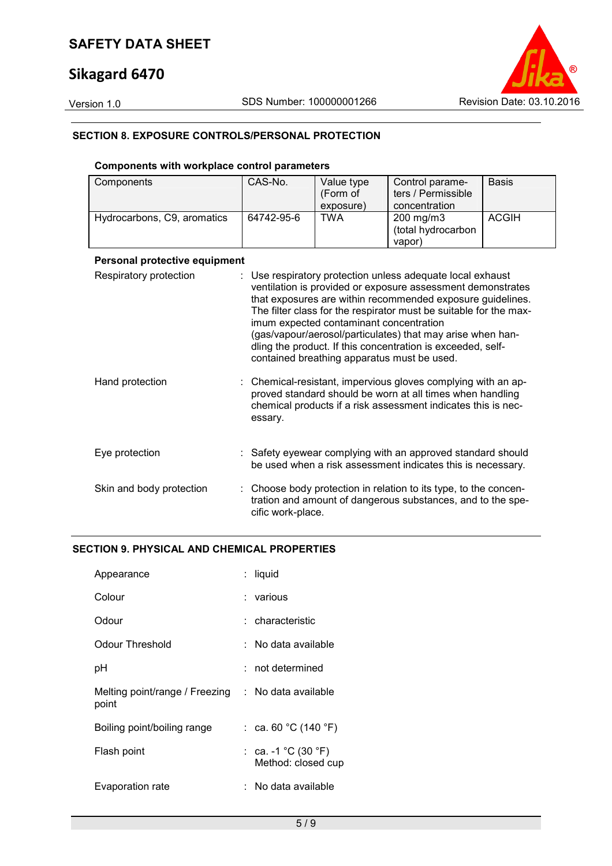# **Sikagard 6470**

Version 1.0 SDS Number: 100000001266 Revision Date: 03.10.2016

### **SECTION 8. EXPOSURE CONTROLS/PERSONAL PROTECTION**

### **Components with workplace control parameters**

| Components                  | CAS-No.    | Value type<br>(Form of<br>exposure) | Control parame-<br>ters / Permissible<br>concentration | <b>Basis</b> |
|-----------------------------|------------|-------------------------------------|--------------------------------------------------------|--------------|
| Hydrocarbons, C9, aromatics | 64742-95-6 | TWA                                 | 200 mg/m3<br>(total hydrocarbon<br>vapor)              | <b>ACGIH</b> |
|                             |            |                                     |                                                        |              |

#### **Personal protective equipment**

| Respiratory protection   | : Use respiratory protection unless adequate local exhaust<br>ventilation is provided or exposure assessment demonstrates<br>that exposures are within recommended exposure guidelines.<br>The filter class for the respirator must be suitable for the max-<br>imum expected contaminant concentration<br>(gas/vapour/aerosol/particulates) that may arise when han-<br>dling the product. If this concentration is exceeded, self-<br>contained breathing apparatus must be used. |
|--------------------------|-------------------------------------------------------------------------------------------------------------------------------------------------------------------------------------------------------------------------------------------------------------------------------------------------------------------------------------------------------------------------------------------------------------------------------------------------------------------------------------|
| Hand protection          | : Chemical-resistant, impervious gloves complying with an ap-<br>proved standard should be worn at all times when handling<br>chemical products if a risk assessment indicates this is nec-<br>essary.                                                                                                                                                                                                                                                                              |
| Eye protection           | : Safety eyewear complying with an approved standard should<br>be used when a risk assessment indicates this is necessary.                                                                                                                                                                                                                                                                                                                                                          |
| Skin and body protection | : Choose body protection in relation to its type, to the concen-<br>tration and amount of dangerous substances, and to the spe-<br>cific work-place.                                                                                                                                                                                                                                                                                                                                |

### **SECTION 9. PHYSICAL AND CHEMICAL PROPERTIES**

| Appearance                              | : liquid              |
|-----------------------------------------|-----------------------|
| Colour                                  | ∶ various             |
| Odour                                   | : characteristic      |
| Odour Threshold                         | ∶ No data available   |
| рH                                      | : not determined      |
| Melting point/range / Freezing<br>point | : No data available   |
| Boiling point/boiling range             | : ca. 60 °C (140 °F)  |
| Flash point                             | Method: closed cup    |
| Evaporation rate                        | :   No data available |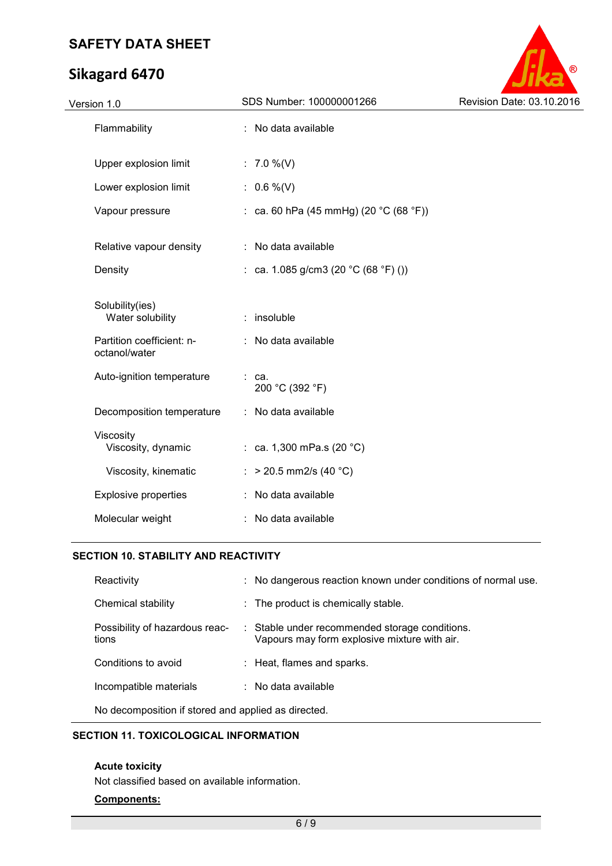# **Sikagard 6470**



| Version 1.0                                | SDS Number: 100000001266               | Revision Date: 03.10.2016 |
|--------------------------------------------|----------------------------------------|---------------------------|
| Flammability                               | : No data available                    |                           |
| Upper explosion limit                      | : $7.0\%$ (V)                          |                           |
| Lower explosion limit                      | : $0.6\%$ (V)                          |                           |
| Vapour pressure                            | : ca. 60 hPa (45 mmHg) (20 °C (68 °F)) |                           |
| Relative vapour density                    | : No data available                    |                           |
| Density                                    | : ca. 1.085 g/cm3 (20 °C (68 °F) ())   |                           |
| Solubility(ies)<br>Water solubility        | : insoluble                            |                           |
| Partition coefficient: n-<br>octanol/water | : No data available                    |                           |
| Auto-ignition temperature                  | ca.<br>200 °C (392 °F)                 |                           |
| Decomposition temperature                  | : No data available                    |                           |
| Viscosity<br>Viscosity, dynamic            | : ca. 1,300 mPa.s (20 $^{\circ}$ C)    |                           |
| Viscosity, kinematic                       | : > 20.5 mm2/s (40 °C)                 |                           |
| <b>Explosive properties</b>                | : No data available                    |                           |
| Molecular weight                           | No data available                      |                           |
|                                            |                                        |                           |

### **SECTION 10. STABILITY AND REACTIVITY**

| Reactivity                              | : No dangerous reaction known under conditions of normal use.                                  |
|-----------------------------------------|------------------------------------------------------------------------------------------------|
| <b>Chemical stability</b>               | : The product is chemically stable.                                                            |
| Possibility of hazardous reac-<br>tions | : Stable under recommended storage conditions.<br>Vapours may form explosive mixture with air. |
| Conditions to avoid                     | : Heat, flames and sparks.                                                                     |
| Incompatible materials                  | $\therefore$ No data available                                                                 |
|                                         |                                                                                                |

No decomposition if stored and applied as directed.

# **SECTION 11. TOXICOLOGICAL INFORMATION**

#### **Acute toxicity**

Not classified based on available information.

#### **Components:**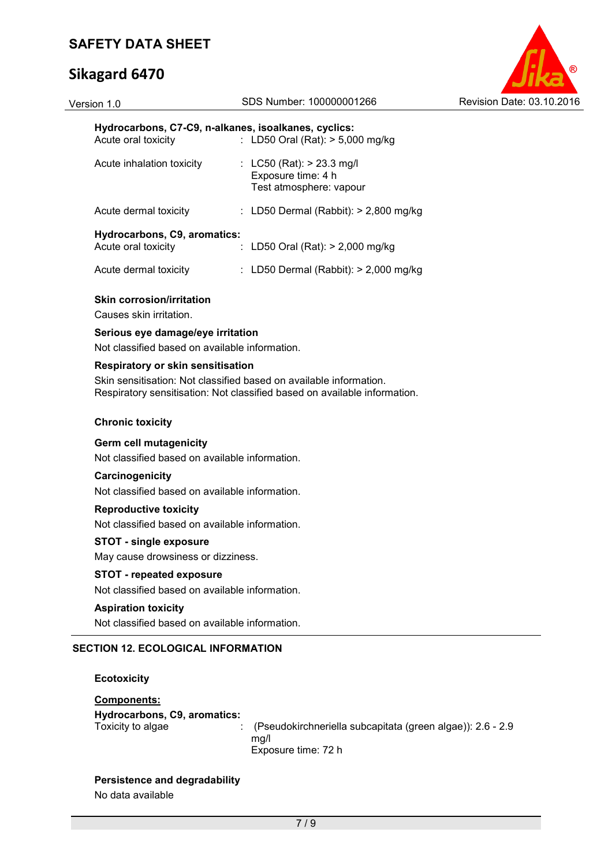#### Version 1.0 SDS Number: 100000001266 Revision Date: 03.10.2016



#### **Hydrocarbons, C7-C9, n-alkanes, isoalkanes, cyclics:**

| Acute oral toxicity                                                                       |  | : LD50 Oral (Rat): $>$ 5,000 mg/kg                                           |  |  |
|-------------------------------------------------------------------------------------------|--|------------------------------------------------------------------------------|--|--|
| Acute inhalation toxicity                                                                 |  | : LC50 (Rat): $> 23.3$ mg/l<br>Exposure time: 4 h<br>Test atmosphere: vapour |  |  |
| Acute dermal toxicity                                                                     |  | : LD50 Dermal (Rabbit): $> 2,800$ mg/kg                                      |  |  |
| Hydrocarbons, C9, aromatics:<br>: LD50 Oral (Rat): $>$ 2,000 mg/kg<br>Acute oral toxicity |  |                                                                              |  |  |
| Acute dermal toxicity                                                                     |  | : LD50 Dermal (Rabbit): $> 2,000$ mg/kg                                      |  |  |

#### **Skin corrosion/irritation**

Causes skin irritation.

#### **Serious eye damage/eye irritation**

Not classified based on available information.

#### **Respiratory or skin sensitisation**

Skin sensitisation: Not classified based on available information. Respiratory sensitisation: Not classified based on available information.

#### **Chronic toxicity**

#### **Germ cell mutagenicity**

Not classified based on available information.

#### **Carcinogenicity**

Not classified based on available information.

#### **Reproductive toxicity**

Not classified based on available information.

#### **STOT - single exposure**

May cause drowsiness or dizziness.

### **STOT - repeated exposure**

Not classified based on available information.

#### **Aspiration toxicity**

Not classified based on available information.

# **SECTION 12. ECOLOGICAL INFORMATION**

#### **Ecotoxicity**

#### **Components:**

### **Hydrocarbons, C9, aromatics:**

Toxicity to algae : (Pseudokirchneriella subcapitata (green algae)): 2.6 - 2.9 mg/l Exposure time: 72 h

#### **Persistence and degradability**

No data available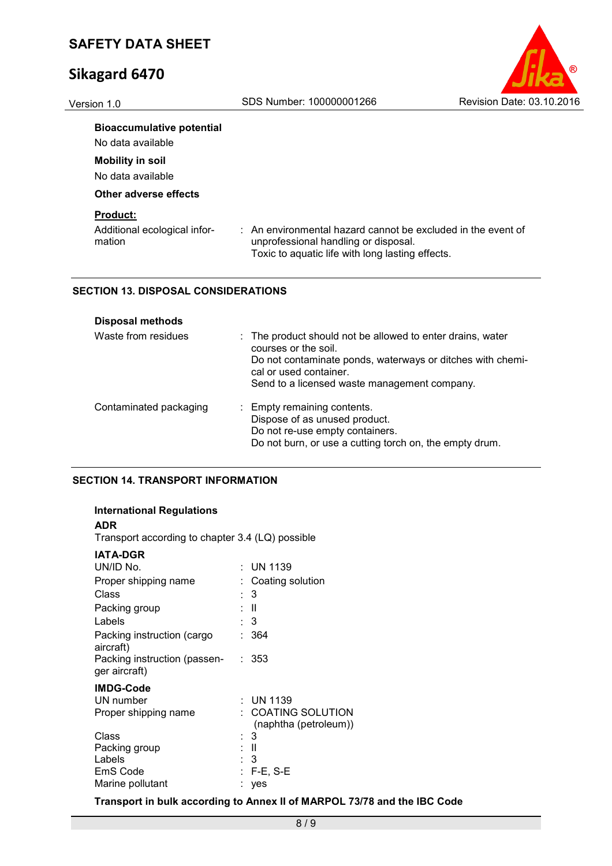

#### **Bioaccumulative potential**

No data available

# **Mobility in soil**

No data available

#### **Other adverse effects**

### **Product:**

| Additional ecological infor- | : An environmental hazard cannot be excluded in the event of |
|------------------------------|--------------------------------------------------------------|
| mation                       | unprofessional handling or disposal.                         |
|                              | Toxic to aquatic life with long lasting effects.             |

### **SECTION 13. DISPOSAL CONSIDERATIONS**

| <b>Disposal methods</b> |                                                                                                                                                                                                                            |
|-------------------------|----------------------------------------------------------------------------------------------------------------------------------------------------------------------------------------------------------------------------|
| Waste from residues     | : The product should not be allowed to enter drains, water<br>courses or the soil.<br>Do not contaminate ponds, waterways or ditches with chemi-<br>cal or used container.<br>Send to a licensed waste management company. |
| Contaminated packaging  | : Empty remaining contents.<br>Dispose of as unused product.<br>Do not re-use empty containers.<br>Do not burn, or use a cutting torch on, the empty drum.                                                                 |

#### **SECTION 14. TRANSPORT INFORMATION**

#### **International Regulations**

#### **ADR**

Transport according to chapter 3.4 (LQ) possible

### **IATA-DGR**

| 11 A P Y I 1                                  |                                           |
|-----------------------------------------------|-------------------------------------------|
| UN/ID No.                                     | : UN 1139                                 |
| Proper shipping name                          | Coating solution                          |
| Class                                         | : 3                                       |
| Packing group                                 | H                                         |
| Labels                                        | : 3                                       |
| Packing instruction (cargo<br>aircraft)       | 364                                       |
| Packing instruction (passen-<br>ger aircraft) | : 353                                     |
| <b>IMDG-Code</b>                              |                                           |
| UN number                                     | : UN 1139                                 |
| Proper shipping name                          | COATING SOLUTION<br>(naphtha (petroleum)) |
| Class                                         | : 3                                       |
| Packing group                                 | : II                                      |
| Labels                                        | : 3                                       |
| EmS Code                                      | $: F-E, S-E$                              |
| Marine pollutant                              | yes                                       |
|                                               |                                           |

#### **Transport in bulk according to Annex II of MARPOL 73/78 and the IBC Code**